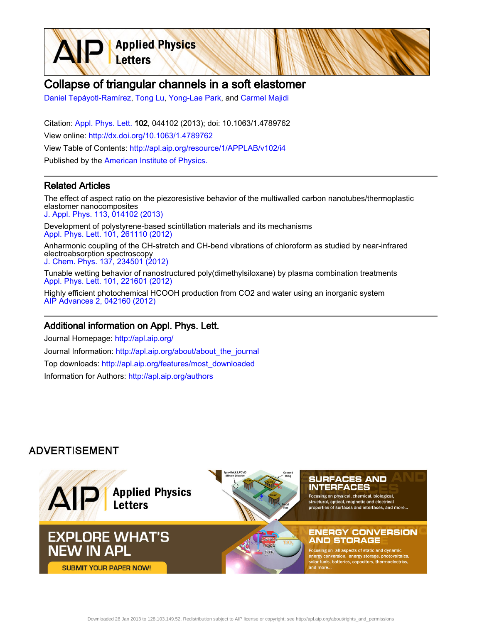

# Collapse of triangular channels in a soft elastomer

[Daniel Tepáyotl-Ramírez,](http://apl.aip.org/search?sortby=newestdate&q=&searchzone=2&searchtype=searchin&faceted=faceted&key=AIP_ALL&possible1=Daniel Tep�yotl-Ram�rez&possible1zone=author&alias=&displayid=AIP&ver=pdfcov) [Tong Lu,](http://apl.aip.org/search?sortby=newestdate&q=&searchzone=2&searchtype=searchin&faceted=faceted&key=AIP_ALL&possible1=Tong Lu&possible1zone=author&alias=&displayid=AIP&ver=pdfcov) [Yong-Lae Park,](http://apl.aip.org/search?sortby=newestdate&q=&searchzone=2&searchtype=searchin&faceted=faceted&key=AIP_ALL&possible1=Yong-Lae Park&possible1zone=author&alias=&displayid=AIP&ver=pdfcov) and [Carmel Majidi](http://apl.aip.org/search?sortby=newestdate&q=&searchzone=2&searchtype=searchin&faceted=faceted&key=AIP_ALL&possible1=Carmel Majidi&possible1zone=author&alias=&displayid=AIP&ver=pdfcov)

Citation: [Appl. Phys. Lett. 1](http://apl.aip.org/?ver=pdfcov)02, 044102 (2013); doi: 10.1063/1.4789762 View online: [http://dx.doi.org/10.1063/1.4789762](http://link.aip.org/link/doi/10.1063/1.4789762?ver=pdfcov) View Table of Contents: [http://apl.aip.org/resource/1/APPLAB/v102/i4](http://apl.aip.org/resource/1/APPLAB/v102/i4?ver=pdfcov) Published by the [American Institute of Physics.](http://www.aip.org/?ver=pdfcov)

#### Related Articles

The effect of aspect ratio on the piezoresistive behavior of the multiwalled carbon nanotubes/thermoplastic elastomer nanocomposites [J. Appl. Phys. 113, 014102 \(2013\)](http://link.aip.org/link/doi/10.1063/1.4772747?ver=pdfcov)

Development of polystyrene-based scintillation materials and its mechanisms [Appl. Phys. Lett. 101, 261110 \(2012\)](http://link.aip.org/link/doi/10.1063/1.4773298?ver=pdfcov)

Anharmonic coupling of the CH-stretch and CH-bend vibrations of chloroform as studied by near-infrared electroabsorption spectroscopy [J. Chem. Phys. 137, 234501 \(2012\)](http://link.aip.org/link/doi/10.1063/1.4770264?ver=pdfcov)

Tunable wetting behavior of nanostructured poly(dimethylsiloxane) by plasma combination treatments [Appl. Phys. Lett. 101, 221601 \(2012\)](http://link.aip.org/link/doi/10.1063/1.4768808?ver=pdfcov)

Highly efficient photochemical HCOOH production from CO2 and water using an inorganic system [AIP Advances 2, 042160 \(2012\)](http://link.aip.org/link/doi/10.1063/1.4769356?ver=pdfcov)

#### Additional information on Appl. Phys. Lett.

Journal Homepage: [http://apl.aip.org/](http://apl.aip.org/?ver=pdfcov) Journal Information: [http://apl.aip.org/about/about\\_the\\_journal](http://apl.aip.org/about/about_the_journal?ver=pdfcov) Top downloads: [http://apl.aip.org/features/most\\_downloaded](http://apl.aip.org/features/most_downloaded?ver=pdfcov) Information for Authors: [http://apl.aip.org/authors](http://apl.aip.org/authors?ver=pdfcov)

### **ADVERTISEMENT**

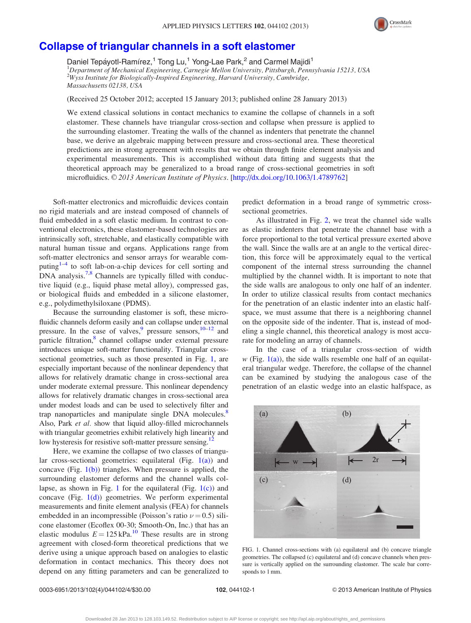

## <span id="page-1-0"></span>[Collapse of triangular channels in a soft elastomer](http://dx.doi.org/10.1063/1.4789762)

Daniel Tepáyotl-Ramírez,<sup>1</sup> Tong Lu,<sup>1</sup> Yong-Lae Park,<sup>2</sup> and Carmel Majidi<sup>1</sup> 1 Department of Mechanical Engineering, Carnegie Mellon University, Pittsburgh, Pennsylvania 15213, USA 2 Wyss Institute for Biologically-Inspired Engineering, Harvard University, Cambridge, Massachusetts 02138, USA

(Received 25 October 2012; accepted 15 January 2013; published online 28 January 2013)

We extend classical solutions in contact mechanics to examine the collapse of channels in a soft elastomer. These channels have triangular cross-section and collapse when pressure is applied to the surrounding elastomer. Treating the walls of the channel as indenters that penetrate the channel base, we derive an algebraic mapping between pressure and cross-sectional area. These theoretical predictions are in strong agreement with results that we obtain through finite element analysis and experimental measurements. This is accomplished without data fitting and suggests that the theoretical approach may be generalized to a broad range of cross-sectional geometries in soft microfluidics. © 2013 American Institute of Physics. [[http://dx.doi.org/10.1063/1.4789762\]](http://dx.doi.org/10.1063/1.4789762)

Soft-matter electronics and microfluidic devices contain no rigid materials and are instead composed of channels of fluid embedded in a soft elastic medium. In contrast to conventional electronics, these elastomer-based technologies are intrinsically soft, stretchable, and elastically compatible with natural human tissue and organs. Applications range from soft-matter electronics and sensor arrays for wearable com-puting<sup>[1–4](#page-4-0)</sup> to soft lab-on-a-chip devices for cell sorting and DNA analysis.<sup>[7,8](#page-4-0)</sup> Channels are typically filled with conductive liquid (e.g., liquid phase metal alloy), compressed gas, or biological fluids and embedded in a silicone elastomer, e.g., polydimethylsiloxane (PDMS).

Because the surrounding elastomer is soft, these microfluidic channels deform easily and can collapse under external pressure. In the case of valves,<sup>[9](#page-4-0)</sup> pressure sensors, $10^{-12}$  and particle filtration,<sup>8</sup> channel collapse under external pressure introduces unique soft-matter functionality. Triangular crosssectional geometries, such as those presented in Fig. 1, are especially important because of the nonlinear dependency that allows for relatively dramatic change in cross-sectional area under moderate external pressure. This nonlinear dependency allows for relatively dramatic changes in cross-sectional area under modest loads and can be used to selectively filter and trap nanoparticles and manipulate single DNA molecules.<sup>8</sup> Also, Park *et al.* show that liquid alloy-filled microchannels with triangular geometries exhibit relatively high linearity and low hysteresis for resistive soft-matter pressure sensing.<sup>12</sup>

Here, we examine the collapse of two classes of triangular cross-sectional geometries: equilateral (Fig.  $1(a)$ ) and concave (Fig.  $1(b)$ ) triangles. When pressure is applied, the surrounding elastomer deforms and the channel walls collapse, as shown in Fig. 1 for the equilateral (Fig.  $1(c)$ ) and concave (Fig.  $1(d)$ ) geometries. We perform experimental measurements and finite element analysis (FEA) for channels embedded in an incompressible (Poisson's ratio  $\nu = 0.5$ ) silicone elastomer (Ecoflex 00-30; Smooth-On, Inc.) that has an elastic modulus  $E = 125$  kPa.<sup>[10](#page-4-0)</sup> These results are in strong agreement with closed-form theoretical predictions that we derive using a unique approach based on analogies to elastic deformation in contact mechanics. This theory does not depend on any fitting parameters and can be generalized to predict deformation in a broad range of symmetric crosssectional geometries.

As illustrated in Fig. [2,](#page-2-0) we treat the channel side walls as elastic indenters that penetrate the channel base with a force proportional to the total vertical pressure exerted above the wall. Since the walls are at an angle to the vertical direction, this force will be approximately equal to the vertical component of the internal stress surrounding the channel multiplied by the channel width. It is important to note that the side walls are analogous to only one half of an indenter. In order to utilize classical results from contact mechanics for the penetration of an elastic indenter into an elastic halfspace, we must assume that there is a neighboring channel on the opposite side of the indenter. That is, instead of modeling a single channel, this theoretical analogy is most accurate for modeling an array of channels.

In the case of a triangular cross-section of width w (Fig.  $1(a)$ ), the side walls resemble one half of an equilateral triangular wedge. Therefore, the collapse of the channel can be examined by studying the analogous case of the penetration of an elastic wedge into an elastic halfspace, as



FIG. 1. Channel cross-sections with (a) equilateral and (b) concave triangle geometries. The collapsed (c) equilateral and (d) concave channels when pressure is vertically applied on the surrounding elastomer. The scale bar corresponds to 1 mm.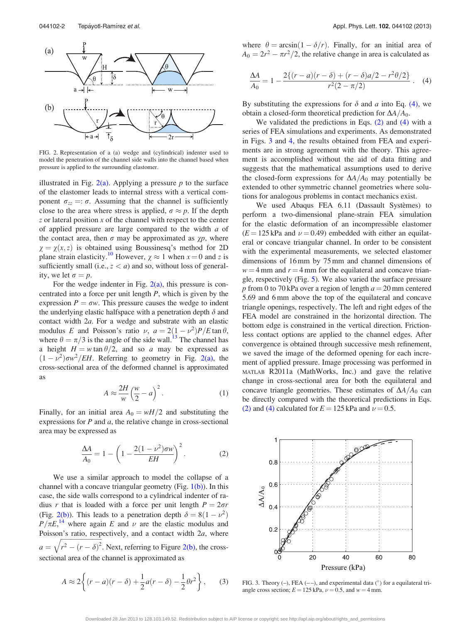<span id="page-2-0"></span>

FIG. 2. Representation of a (a) wedge and (cylindrical) indenter used to model the penetration of the channel side walls into the channel based when pressure is applied to the surrounding elastomer.

illustrated in Fig.  $2(a)$ . Applying a pressure p to the surface of the elastomer leads to internal stress with a vertical component  $\sigma_{zz} =: \sigma$ . Assuming that the channel is sufficiently close to the area where stress is applied,  $\sigma \approx p$ . If the depth  $z$  or lateral position  $x$  of the channel with respect to the center of applied pressure are large compared to the width  $a$  of the contact area, then  $\sigma$  may be approximated as  $\gamma p$ , where  $\chi = \chi(x, z)$  is obtained using Boussinesq's method for 2D plane strain elasticity.<sup>[10](#page-4-0)</sup> However,  $\chi \approx 1$  when  $x = 0$  and z is sufficiently small (i.e.,  $z < a$ ) and so, without loss of generality, we let  $\sigma = p$ .

For the wedge indenter in Fig.  $2(a)$ , this pressure is concentrated into a force per unit length  $P$ , which is given by the expression  $P = \sigma w$ . This pressure causes the wedge to indent the underlying elastic halfspace with a penetration depth  $\delta$  and contact width 2a. For a wedge and substrate with an elastic modulus E and Poisson's ratio  $\nu$ ,  $a = 2(1 - \nu^2)P/E \tan \theta$ , where  $\theta = \pi/3$  is the angle of the side wall.<sup>13</sup> The channel has a height  $H = w \tan \theta/2$ , and so a may be expressed as  $(1 - \nu^2)\sigma w^2/EH$ . Referring to geometry in Fig. 2(a), the cross-sectional area of the deformed channel is approximated as

$$
A \approx \frac{2H}{w} \left(\frac{w}{2} - a\right)^2.
$$
 (1)

Finally, for an initial area  $A_0 = wH/2$  and substituting the expressions for  $P$  and  $a$ , the relative change in cross-sectional area may be expressed as

$$
\frac{\Delta A}{A_0} = 1 - \left(1 - \frac{2(1 - \nu^2)\sigma w}{EH}\right)^2.
$$
 (2)

We use a similar approach to model the collapse of a channel with a concave triangular geometry (Fig.  $1(b)$ ). In this case, the side walls correspond to a cylindrical indenter of radius r that is loaded with a force per unit length  $P = 2\sigma r$ (Fig. 2(b)). This leads to a penetration depth  $\delta = 8(1 - \nu^2)$  $P/\pi E$ ,<sup>[14](#page-4-0)</sup> where again E and  $\nu$  are the elastic modulus and Poisson's ratio, respectively, and a contact width  $2a$ , where  $a =$  $\frac{f_{\text{max}}}{f_{\text{max}}}$  $\sqrt{r^2 - (r - \delta)^2}$ . Next, referring to Figure  $2(b)$ , the crosssectional area of the channel is approximated as

$$
A \approx 2\left\{ (r-a)(r-\delta) + \frac{1}{2}a(r-\delta) - \frac{1}{2}\theta r^2 \right\},\qquad(3)
$$

where  $\theta = \arcsin(1 - \delta/r)$ . Finally, for an initial area of  $A_0 = 2r^2 - \pi r^2/2$ , the relative change in area is calculated as

$$
\frac{\Delta A}{A_0} = 1 - \frac{2\{(r-a)(r-\delta) + (r-\delta)a/2 - r^2\theta/2\}}{r^2(2-\pi/2)}.
$$
 (4)

By substituting the expressions for  $\delta$  and a into Eq. (4), we obtain a closed-form theoretical prediction for  $\Delta A/A_0$ .

We validated the predictions in Eqs. (2) and (4) with a series of FEA simulations and experiments. As demonstrated in Figs. 3 and [4,](#page-3-0) the results obtained from FEA and experiments are in strong agreement with the theory. This agreement is accomplished without the aid of data fitting and suggests that the mathematical assumptions used to derive the closed-form expressions for  $\Delta A/A_0$  may potentially be extended to other symmetric channel geometries where solutions for analogous problems in contact mechanics exist.

We used Abaqus FEA 6.11 (Dassault Systèmes) to perform a two-dimensional plane-strain FEA simulation for the elastic deformation of an incompressible elastomer  $(E = 125$  kPa and  $\nu = 0.49$ ) embedded with either an equilateral or concave triangular channel. In order to be consistent with the experimental measurements, we selected elastomer dimensions of 16 mm by 75 mm and channel dimensions of  $w = 4$  mm and  $r = 4$  mm for the equilateral and concave triangle, respectively (Fig. [5\)](#page-3-0). We also varied the surface pressure p from 0 to 70 kPa over a region of length  $a = 20$  mm centered 5.69 and 6 mm above the top of the equilateral and concave triangle openings, respectively. The left and right edges of the FEA model are constrained in the horizontal direction. The bottom edge is constrained in the vertical direction. Frictionless contact options are applied to the channel edges. After convergence is obtained through successive mesh refinement, we saved the image of the deformed opening for each increment of applied pressure. Image processing was performed in MATLAB R2011a (MathWorks, Inc.) and gave the relative change in cross-sectional area for both the equilateral and concave triangle geometries. These estimates of  $\Delta A/A_0$  can be directly compared with the theoretical predictions in Eqs. (2) and (4) calculated for  $E = 125$  kPa and  $\nu = 0.5$ .



FIG. 3. Theory  $(-)$ , FEA  $(-)$ , and experimental data  $(°)$  for a equilateral triangle cross section;  $E = 125$  kPa,  $\nu = 0.5$ , and  $w = 4$  mm.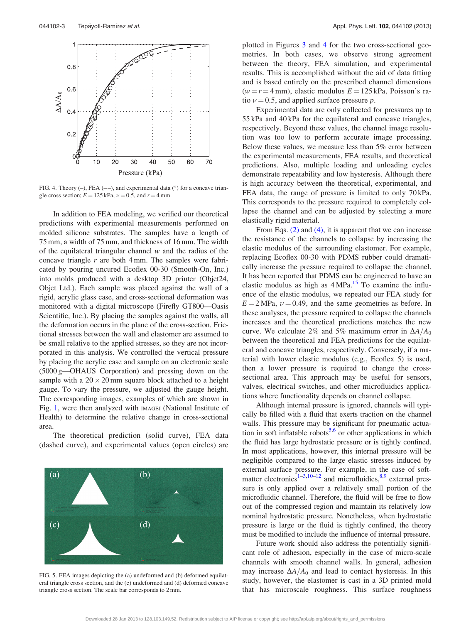<span id="page-3-0"></span>

FIG. 4. Theory  $(-)$ , FEA  $(-)$ , and experimental data  $(°)$  for a concave triangle cross section;  $E = 125$  kPa,  $\nu = 0.5$ , and  $r = 4$  mm.

In addition to FEA modeling, we verified our theoretical predictions with experimental measurements performed on molded silicone substrates. The samples have a length of 75 mm, a width of 75 mm, and thickness of 16 mm. The width of the equilateral triangular channel  $w$  and the radius of the concave triangle  $r$  are both 4 mm. The samples were fabricated by pouring uncured Ecoflex 00-30 (Smooth-On, Inc.) into molds produced with a desktop 3D printer (Objet24, Objet Ltd.). Each sample was placed against the wall of a rigid, acrylic glass case, and cross-sectional deformation was monitored with a digital microscope (Firefly GT800—Oasis Scientific, Inc.). By placing the samples against the walls, all the deformation occurs in the plane of the cross-section. Frictional stresses between the wall and elastomer are assumed to be small relative to the applied stresses, so they are not incorporated in this analysis. We controlled the vertical pressure by placing the acrylic case and sample on an electronic scale (5000 g—OHAUS Corporation) and pressing down on the sample with a  $20 \times 20$  mm square block attached to a height gauge. To vary the pressure, we adjusted the gauge height. The corresponding images, examples of which are shown in Fig. [1,](#page-1-0) were then analyzed with IMAGEJ (National Institute of Health) to determine the relative change in cross-sectional area.

The theoretical prediction (solid curve), FEA data (dashed curve), and experimental values (open circles) are



FIG. 5. FEA images depicting the (a) undeformed and (b) deformed equilateral triangle cross section, and the (c) undeformed and (d) deformed concave triangle cross section. The scale bar corresponds to 2 mm.

plotted in Figures [3](#page-2-0) and 4 for the two cross-sectional geometries. In both cases, we observe strong agreement between the theory, FEA simulation, and experimental results. This is accomplished without the aid of data fitting and is based entirely on the prescribed channel dimensions  $(w = r = 4$  mm), elastic modulus  $E = 125$  kPa, Poisson's ratio  $\nu = 0.5$ , and applied surface pressure p.

Experimental data are only collected for pressures up to 55 kPa and 40 kPa for the equilateral and concave triangles, respectively. Beyond these values, the channel image resolution was too low to perform accurate image processing. Below these values, we measure less than 5% error between the experimental measurements, FEA results, and theoretical predictions. Also, multiple loading and unloading cycles demonstrate repeatability and low hysteresis. Although there is high accuracy between the theoretical, experimental, and FEA data, the range of pressure is limited to only 70 kPa. This corresponds to the pressure required to completely collapse the channel and can be adjusted by selecting a more elastically rigid material.

From Eqs. [\(2\)](#page-2-0) and [\(4\)](#page-2-0), it is apparent that we can increase the resistance of the channels to collapse by increasing the elastic modulus of the surrounding elastomer. For example, replacing Ecoflex 00-30 with PDMS rubber could dramatically increase the pressure required to collapse the channel. It has been reported that PDMS can be engineered to have an elastic modulus as high as  $4 MPa<sup>15</sup>$  To examine the influence of the elastic modulus, we repeated our FEA study for  $E = 2 \text{ MPa}, \nu = 0.49, \text{ and the same geometries as before. In}$ these analyses, the pressure required to collapse the channels increases and the theoretical predictions matches the new curve. We calculate 2% and 5% maximum error in  $\Delta A/A_0$ between the theoretical and FEA predictions for the equilateral and concave triangles, respectively. Conversely, if a material with lower elastic modulus (e.g., Ecoflex 5) is used, then a lower pressure is required to change the crosssectional area. This approach may be useful for sensors, valves, electrical switches, and other microfluidics applications where functionality depends on channel collapse.

Although internal pressure is ignored, channels will typically be filled with a fluid that exerts traction on the channel walls. This pressure may be significant for pneumatic actuation in soft inflatable robots<sup>5,6</sup> or other applications in which the fluid has large hydrostatic pressure or is tightly confined. In most applications, however, this internal pressure will be negligible compared to the large elastic stresses induced by external surface pressure. For example, in the case of soft-matter electronics<sup>1–[3,10–12](#page-4-0)</sup> and microfluidics,  $8.9$  $8.9$  external pressure is only applied over a relatively small portion of the microfluidic channel. Therefore, the fluid will be free to flow out of the compressed region and maintain its relatively low nominal hydrostatic pressure. Nonetheless, when hydrostatic pressure is large or the fluid is tightly confined, the theory must be modified to include the influence of internal pressure.

Future work should also address the potentially significant role of adhesion, especially in the case of micro-scale channels with smooth channel walls. In general, adhesion may increase  $\Delta A/A_0$  and lead to contact hysteresis. In this study, however, the elastomer is cast in a 3D printed mold that has microscale roughness. This surface roughness